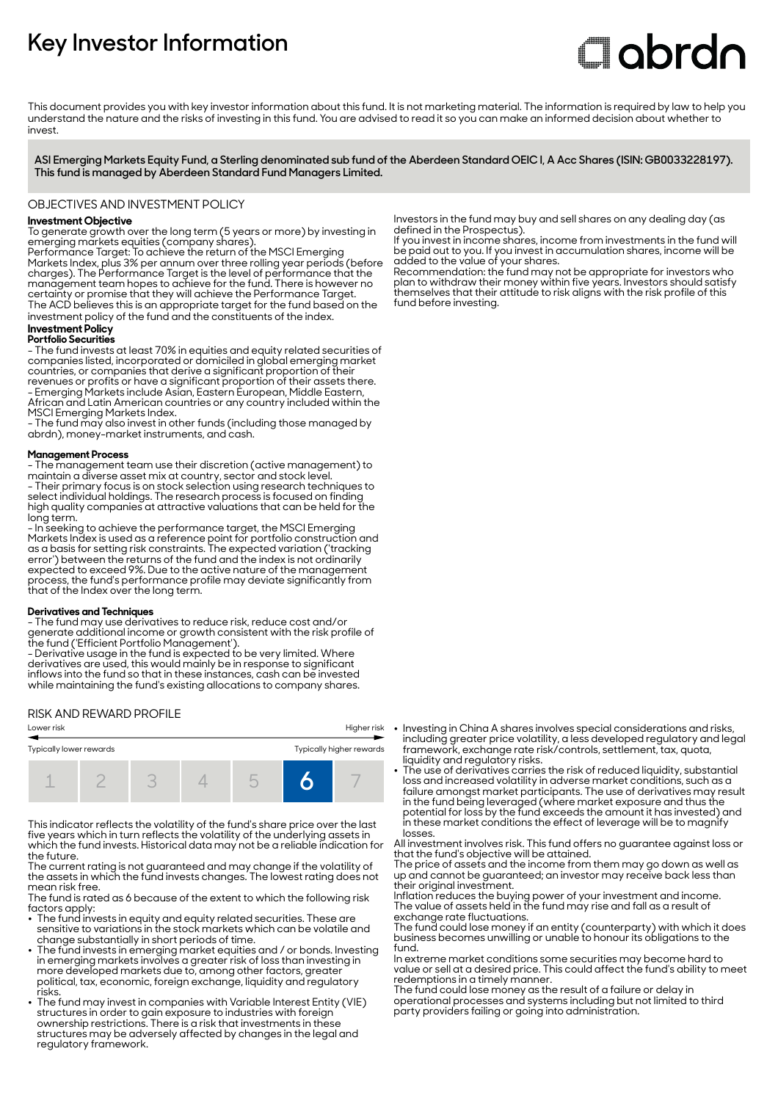# **Key Investor Information**

# **Clobrdn**

This document provides you with key investor information about this fund. It is not marketing material. The information is required by law to help you understand the nature and the risks of investing in this fund. You are advised to read it so you can make an informed decision about whether to invest

**ASI Emerging Markets Equity Fund, a Sterling denominated sub fund of the Aberdeen Standard OEIC I, A Acc Shares (ISIN: GB0033228197). This fund is managed by Aberdeen Standard Fund Managers Limited.**

# OBJECTIVES AND INVESTMENT POLICY

# **Investment Objective**

To generate growth over the long term (5 years or more) by investing in emerging markets equities (company shares).

Performance Target: To achieve the return of the MSCI Emerging Markets Index, plus 3% per annum over three rolling year periods (before charges). The Performance Target is the level of performance that the management team hopes to achieve for the fund. There is however no certainty or promise that they will achieve the Performance Target. The ACD believes this is an appropriate target for the fund based on the investment policy of the fund and the constituents of the index.

#### **Investment Policy Portfolio Securities**

- The fund invests at least 70% in equities and equity related securities of companies listed, incorporated or domiciled in global emerging market countries, or companies that derive a significant proportion of their revenues or profits or have a significant proportion of their assets there. - Emerging Markets include Asian, Eastern European, Middle Eastern, African and Latin American countries or any country included within the MSCI Emerging Markets Index.

- The fund may also invest in other funds (including those managed by abrdn), money-market instruments, and cash.

#### **Management Process**

- The management team use their discretion (active management) to maintain a diverse asset mix at country, sector and stock level. - Their primary focus is on stock selection using research techniques to select individual holdings. The research process is focused on finding high quality companies at attractive valuations that can be held for the long term.

- In seeking to achieve the performance target, the MSCI Emerging Markets Index is used as a reference point for portfolio construction and as a basis for setting risk constraints. The expected variation ('tracking error') between the returns of the fund and the index is not ordinarily expected to exceed 9%. Due to the active nature of the management process, the fund's performance profile may deviate significantly from that of the Index over the long term.

#### **Derivatives and Techniques**

- The fund may use derivatives to reduce risk, reduce cost and/or generate additional income or growth consistent with the risk profile of the fund ('Efficient Portfolio Management').

- Derivative usage in the fund is expected to be very limited. Where derivatives are used, this would mainly be in response to significant inflows into the fund so that in these instances, cash can be invested while maintaining the fund's existing allocations to company shares.

## RISK AND REWARD PROFILE



This indicator reflects the volatility of the fund's share price over the last five years which in turn reflects the volatility of the underlying assets in which the fund invests. Historical data may not be a reliable indication for the future.

The current rating is not guaranteed and may change if the volatility of the assets in which the fund invests changes. The lowest rating does not mean risk free.

The fund is rated as 6 because of the extent to which the following risk factors apply:

- $\bullet~$  The fund invests in equity and equity related securities. These are sensitive to variations in the stock markets which can be volatile and change substantially in short periods of time.
- 2 The fund invests in emerging market equities and / or bonds. Investing in emerging markets involves a greater risk of loss than investing in more developed markets due to, among other factors, greater political, tax, economic, foreign exchange, liquidity and regulatory risks.
- The fund may invest in companies with Variable Interest Entity (VIE) structures in order to gain exposure to industries with foreign ownership restrictions. There is a risk that investments in these structures may be adversely affected by changes in the legal and regulatory framework.

Investors in the fund may buy and sell shares on any dealing day (as defined in the Prospectus).

If you invest in income shares, income from investments in the fund will be paid out to you. If you invest in accumulation shares, income will be added to the value of your shares.

Recommendation: the fund may not be appropriate for investors who plan to withdraw their money within five years. Investors should satisfy themselves that their attitude to risk aligns with the risk profile of this fund before investing.

- Investing in China A shares involves special considerations and risks, including greater price volatility, a less developed regulatory and legal framework, exchange rate risk/controls, settlement, tax, quota,
- liquidity and regulatory risks. 2 The use of derivatives carries the risk of reduced liquidity, substantial loss and increased volatility in adverse market conditions, such as a failure amongst market participants. The use of derivatives may result in the fund being leveraged (where market exposure and thus the potential for loss by the fund exceeds the amount it has invested) and in these market conditions the effect of leverage will be to magnify losses.

All investment involves risk. This fund offers no guarantee against loss or that the fund's objective will be attained.

The price of assets and the income from them may go down as well as up and cannot be guaranteed; an investor may receive back less than their original investment.

Inflation reduces the buying power of your investment and income. The value of assets held in the fund may rise and fall as a result of exchange rate fluctuations.

The fund could lose money if an entity (counterparty) with which it does business becomes unwilling or unable to honour its obligations to the fund.

In extreme market conditions some securities may become hard to value or sell at a desired price. This could affect the fund's ability to meet redemptions in a timely manner.

The fund could lose money as the result of a failure or delay in operational processes and systems including but not limited to third party providers failing or going into administration.